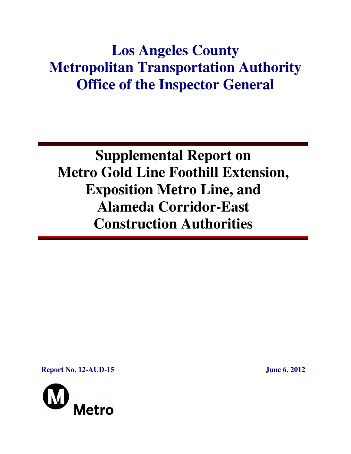# **Los Angeles County Metropolitan Transportation Authority Office of the Inspector General**

# **Supplemental Report on Metro Gold Line Foothill Extension, Exposition Metro Line, and Alameda Corridor-East Construction Authorities**

**Report No. 12-AUD-15** June 6, 2012

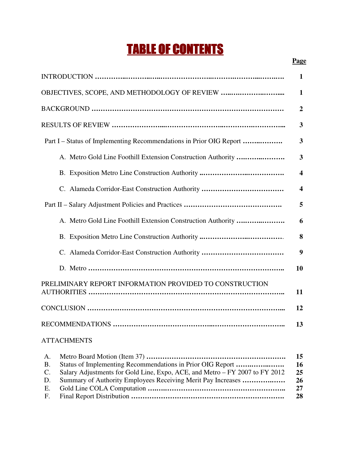# TABLE OF CONTENTS

|                                                                                                                                                                                                                                                   | $\mathbf{1}$               |
|---------------------------------------------------------------------------------------------------------------------------------------------------------------------------------------------------------------------------------------------------|----------------------------|
|                                                                                                                                                                                                                                                   | $\mathbf{1}$               |
|                                                                                                                                                                                                                                                   | $\boldsymbol{2}$           |
|                                                                                                                                                                                                                                                   | 3                          |
| Part I – Status of Implementing Recommendations in Prior OIG Report                                                                                                                                                                               | 3                          |
| A. Metro Gold Line Foothill Extension Construction Authority                                                                                                                                                                                      | 3                          |
|                                                                                                                                                                                                                                                   | $\overline{\mathbf{4}}$    |
|                                                                                                                                                                                                                                                   | $\overline{\mathbf{4}}$    |
|                                                                                                                                                                                                                                                   | 5                          |
| A. Metro Gold Line Foothill Extension Construction Authority                                                                                                                                                                                      | 6                          |
|                                                                                                                                                                                                                                                   | 8                          |
| C.                                                                                                                                                                                                                                                | 9                          |
|                                                                                                                                                                                                                                                   | 10                         |
| PRELIMINARY REPORT INFORMATION PROVIDED TO CONSTRUCTION                                                                                                                                                                                           | 11                         |
|                                                                                                                                                                                                                                                   | 12                         |
|                                                                                                                                                                                                                                                   | 13                         |
| <b>ATTACHMENTS</b>                                                                                                                                                                                                                                |                            |
| A.<br><b>B.</b><br>Status of Implementing Recommendations in Prior OIG Report<br>Salary Adjustments for Gold Line, Expo, ACE, and Metro - FY 2007 to FY 2012<br>$C$ .<br>Summary of Authority Employees Receiving Merit Pay Increases<br>D.<br>Ε. | 15<br>16<br>25<br>26<br>27 |

F. Final Report Distribution **…………………………………………………………. 28**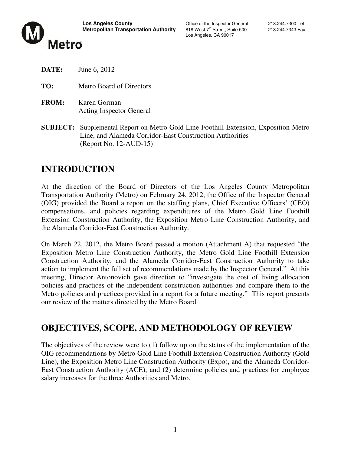

Los Angeles, CA 90017

- **DATE:** June 6, 2012
- **TO:** Metro Board of Directors
- **FROM:** Karen Gorman Acting Inspector General
- **SUBJECT:** Supplemental Report on Metro Gold Line Foothill Extension, Exposition Metro Line, and Alameda Corridor-East Construction Authorities (Report No. 12-AUD-15)

# **INTRODUCTION**

At the direction of the Board of Directors of the Los Angeles County Metropolitan Transportation Authority (Metro) on February 24, 2012, the Office of the Inspector General (OIG) provided the Board a report on the staffing plans, Chief Executive Officers' (CEO) compensations, and policies regarding expenditures of the Metro Gold Line Foothill Extension Construction Authority, the Exposition Metro Line Construction Authority, and the Alameda Corridor-East Construction Authority.

On March 22, 2012, the Metro Board passed a motion (Attachment A) that requested "the Exposition Metro Line Construction Authority, the Metro Gold Line Foothill Extension Construction Authority, and the Alameda Corridor-East Construction Authority to take action to implement the full set of recommendations made by the Inspector General." At this meeting, Director Antonovich gave direction to "investigate the cost of living allocation policies and practices of the independent construction authorities and compare them to the Metro policies and practices provided in a report for a future meeting." This report presents our review of the matters directed by the Metro Board.

# **OBJECTIVES, SCOPE, AND METHODOLOGY OF REVIEW**

The objectives of the review were to (1) follow up on the status of the implementation of the OIG recommendations by Metro Gold Line Foothill Extension Construction Authority (Gold Line), the Exposition Metro Line Construction Authority (Expo), and the Alameda Corridor-East Construction Authority (ACE), and (2) determine policies and practices for employee salary increases for the three Authorities and Metro.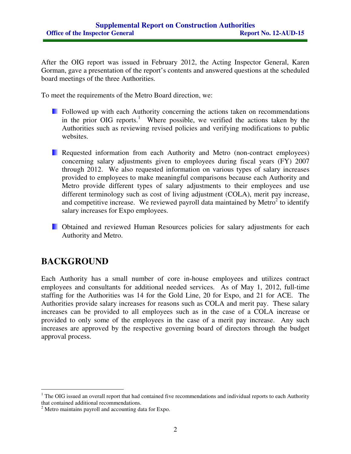After the OIG report was issued in February 2012, the Acting Inspector General, Karen Gorman, gave a presentation of the report's contents and answered questions at the scheduled board meetings of the three Authorities.

To meet the requirements of the Metro Board direction, we:

- **Followed up with each Authority concerning the actions taken on recommendations** in the prior OIG reports.<sup>1</sup> Where possible, we verified the actions taken by the Authorities such as reviewing revised policies and verifying modifications to public websites.
- **Requested information from each Authority and Metro (non-contract employees)** concerning salary adjustments given to employees during fiscal years (FY) 2007 through 2012. We also requested information on various types of salary increases provided to employees to make meaningful comparisons because each Authority and Metro provide different types of salary adjustments to their employees and use different terminology such as cost of living adjustment (COLA), merit pay increase, and competitive increase. We reviewed payroll data maintained by  $Metro<sup>2</sup>$  to identify salary increases for Expo employees.
- **D** Obtained and reviewed Human Resources policies for salary adjustments for each Authority and Metro.

# **BACKGROUND**

Each Authority has a small number of core in-house employees and utilizes contract employees and consultants for additional needed services. As of May 1, 2012, full-time staffing for the Authorities was 14 for the Gold Line, 20 for Expo, and 21 for ACE. The Authorities provide salary increases for reasons such as COLA and merit pay. These salary increases can be provided to all employees such as in the case of a COLA increase or provided to only some of the employees in the case of a merit pay increase. Any such increases are approved by the respective governing board of directors through the budget approval process.

<sup>&</sup>lt;sup>1</sup> The OIG issued an overall report that had contained five recommendations and individual reports to each Authority that contained additional recommendations.

 $2$  Metro maintains payroll and accounting data for Expo.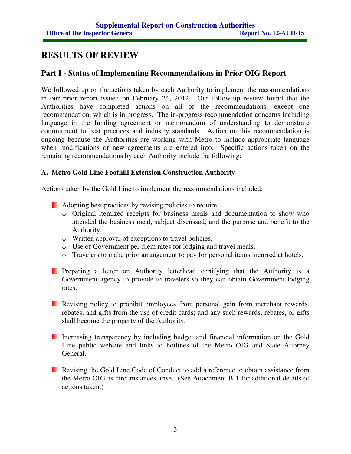# **RESULTS OF REVIEW**

## **Part I - Status of Implementing Recommendations in Prior OIG Report**

We followed up on the actions taken by each Authority to implement the recommendations in our prior report issued on February 24, 2012. Our follow-up review found that the Authorities have completed actions on all of the recommendations, except one recommendation, which is in progress. The in-progress recommendation concerns including language in the funding agreement or memorandum of understanding to demonstrate commitment to best practices and industry standards. Action on this recommendation is ongoing because the Authorities are working with Metro to include appropriate language when modifications or new agreements are entered into. Specific actions taken on the remaining recommendations by each Authority include the following:

### **A. Metro Gold Line Foothill Extension Construction Authority**

Actions taken by the Gold Line to implement the recommendations included:

- Adopting best practices by revising policies to require:
	- o Original itemized receipts for business meals and documentation to show who attended the business meal, subject discussed, and the purpose and benefit to the Authority.
	- o Written approval of exceptions to travel policies.
	- o Use of Government per diem rates for lodging and travel meals.
	- o Travelers to make prior arrangement to pay for personal items incurred at hotels.
- **Preparing a letter on Authority letterhead certifying that the Authority is a** Government agency to provide to travelers so they can obtain Government lodging rates.
- **E** Revising policy to prohibit employees from personal gain from merchant rewards, rebates, and gifts from the use of credit cards; and any such rewards, rebates, or gifts shall become the property of the Authority.
- Increasing transparency by including budget and financial information on the Gold Line public website and links to hotlines of the Metro OIG and State Attorney General.
- **Revising the Gold Line Code of Conduct to add a reference to obtain assistance from** the Metro OIG as circumstances arise. (See Attachment B-1 for additional details of actions taken.)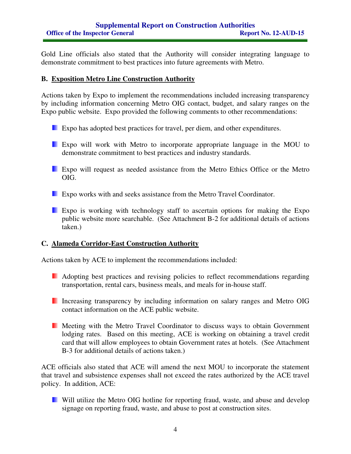### **Supplemental Report on Construction Authorities Office of the Inspector General Report No. 12-AUD-15**

Gold Line officials also stated that the Authority will consider integrating language to demonstrate commitment to best practices into future agreements with Metro.

### **B. Exposition Metro Line Construction Authority**

Actions taken by Expo to implement the recommendations included increasing transparency by including information concerning Metro OIG contact, budget, and salary ranges on the Expo public website. Expo provided the following comments to other recommendations:

- Expo has adopted best practices for travel, per diem, and other expenditures.
- Expo will work with Metro to incorporate appropriate language in the MOU to demonstrate commitment to best practices and industry standards.
- Expo will request as needed assistance from the Metro Ethics Office or the Metro OIG.
- **EXPO works with and seeks assistance from the Metro Travel Coordinator.**
- Expo is working with technology staff to ascertain options for making the Expo public website more searchable. (See Attachment B-2 for additional details of actions taken.)

### **C. Alameda Corridor-East Construction Authority**

Actions taken by ACE to implement the recommendations included:

- **Adopting best practices and revising policies to reflect recommendations regarding** transportation, rental cars, business meals, and meals for in-house staff.
- Increasing transparency by including information on salary ranges and Metro OIG contact information on the ACE public website.
- **Meeting with the Metro Travel Coordinator to discuss ways to obtain Government** lodging rates. Based on this meeting, ACE is working on obtaining a travel credit card that will allow employees to obtain Government rates at hotels. (See Attachment B-3 for additional details of actions taken.)

ACE officials also stated that ACE will amend the next MOU to incorporate the statement that travel and subsistence expenses shall not exceed the rates authorized by the ACE travel policy. In addition, ACE:

**Will utilize the Metro OIG hotline for reporting fraud, waste, and abuse and develop** signage on reporting fraud, waste, and abuse to post at construction sites.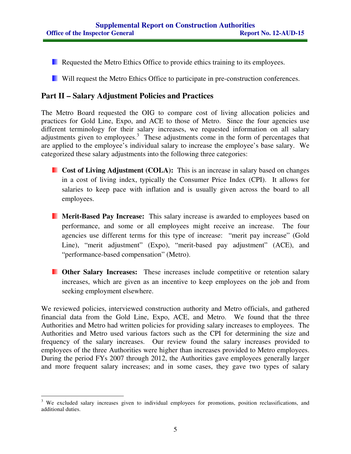- Requested the Metro Ethics Office to provide ethics training to its employees.
- **Will request the Metro Ethics Office to participate in pre-construction conferences.**

## **Part II – Salary Adjustment Policies and Practices**

The Metro Board requested the OIG to compare cost of living allocation policies and practices for Gold Line, Expo, and ACE to those of Metro. Since the four agencies use different terminology for their salary increases, we requested information on all salary adjustments given to employees. $3$  These adjustments come in the form of percentages that are applied to the employee's individual salary to increase the employee's base salary. We categorized these salary adjustments into the following three categories:

- **Cost of Living Adjustment (COLA):** This is an increase in salary based on changes in a cost of living index, typically the Consumer Price Index (CPI). It allows for salaries to keep pace with inflation and is usually given across the board to all employees.
- **Merit-Based Pay Increase:** This salary increase is awarded to employees based on performance, and some or all employees might receive an increase. The four agencies use different terms for this type of increase: "merit pay increase" (Gold Line), "merit adjustment" (Expo), "merit-based pay adjustment" (ACE), and "performance-based compensation" (Metro).
- **Detect Other Salary Increases:** These increases include competitive or retention salary increases, which are given as an incentive to keep employees on the job and from seeking employment elsewhere.

We reviewed policies, interviewed construction authority and Metro officials, and gathered financial data from the Gold Line, Expo, ACE, and Metro. We found that the three Authorities and Metro had written policies for providing salary increases to employees. The Authorities and Metro used various factors such as the CPI for determining the size and frequency of the salary increases. Our review found the salary increases provided to employees of the three Authorities were higher than increases provided to Metro employees. During the period FYs 2007 through 2012, the Authorities gave employees generally larger and more frequent salary increases; and in some cases, they gave two types of salary

<sup>&</sup>lt;sup>3</sup> We excluded salary increases given to individual employees for promotions, position reclassifications, and additional duties.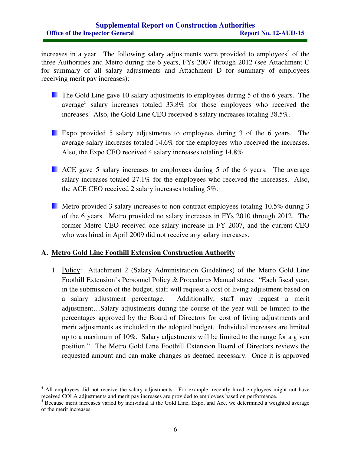### **Supplemental Report on Construction Authorities Office of the Inspector General Report No. 12-AUD-15**

increases in a year. The following salary adjustments were provided to employees<sup>4</sup> of the three Authorities and Metro during the 6 years, FYs 2007 through 2012 (see Attachment C for summary of all salary adjustments and Attachment D for summary of employees receiving merit pay increases):

- The Gold Line gave 10 salary adjustments to employees during 5 of the 6 years. The average<sup>5</sup> salary increases totaled  $33.8\%$  for those employees who received the increases. Also, the Gold Line CEO received 8 salary increases totaling 38.5%.
- Expo provided 5 salary adjustments to employees during 3 of the 6 years. The average salary increases totaled 14.6% for the employees who received the increases. Also, the Expo CEO received 4 salary increases totaling 14.8%.
- ACE gave 5 salary increases to employees during 5 of the 6 years. The average salary increases totaled 27.1% for the employees who received the increases. Also, the ACE CEO received 2 salary increases totaling 5%.
- **Metro provided 3 salary increases to non-contract employees totaling 10.5% during 3** of the 6 years. Metro provided no salary increases in FYs 2010 through 2012. The former Metro CEO received one salary increase in FY 2007, and the current CEO who was hired in April 2009 did not receive any salary increases.

### **A. Metro Gold Line Foothill Extension Construction Authority**

 $\overline{a}$ 

1. Policy: Attachment 2 (Salary Administration Guidelines) of the Metro Gold Line Foothill Extension's Personnel Policy & Procedures Manual states: "Each fiscal year, in the submission of the budget, staff will request a cost of living adjustment based on a salary adjustment percentage. Additionally, staff may request a merit adjustment…Salary adjustments during the course of the year will be limited to the percentages approved by the Board of Directors for cost of living adjustments and merit adjustments as included in the adopted budget. Individual increases are limited up to a maximum of 10%. Salary adjustments will be limited to the range for a given position." The Metro Gold Line Foothill Extension Board of Directors reviews the requested amount and can make changes as deemed necessary. Once it is approved

<sup>&</sup>lt;sup>4</sup> All employees did not receive the salary adjustments. For example, recently hired employees might not have received COLA adjustments and merit pay increases are provided to employees based on performance.<br><sup>5</sup> Because merit increases varied by individual at the Gold Line, Expo, and Ace, we determined a weighted average

of the merit increases.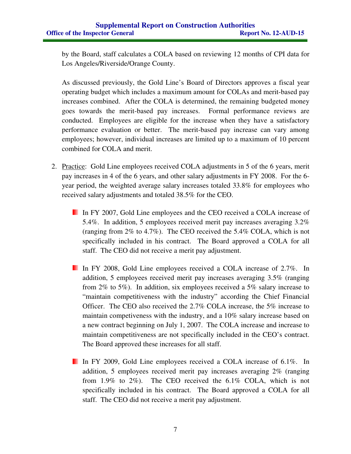by the Board, staff calculates a COLA based on reviewing 12 months of CPI data for Los Angeles/Riverside/Orange County.

As discussed previously, the Gold Line's Board of Directors approves a fiscal year operating budget which includes a maximum amount for COLAs and merit-based pay increases combined. After the COLA is determined, the remaining budgeted money goes towards the merit-based pay increases. Formal performance reviews are conducted. Employees are eligible for the increase when they have a satisfactory performance evaluation or better. The merit-based pay increase can vary among employees; however, individual increases are limited up to a maximum of 10 percent combined for COLA and merit.

- 2. Practice: Gold Line employees received COLA adjustments in 5 of the 6 years, merit pay increases in 4 of the 6 years, and other salary adjustments in FY 2008. For the 6 year period, the weighted average salary increases totaled 33.8% for employees who received salary adjustments and totaled 38.5% for the CEO.
	- In FY 2007, Gold Line employees and the CEO received a COLA increase of 5.4%. In addition, 5 employees received merit pay increases averaging 3.2% (ranging from 2% to 4.7%). The CEO received the 5.4% COLA, which is not specifically included in his contract. The Board approved a COLA for all staff. The CEO did not receive a merit pay adjustment.
	- In FY 2008, Gold Line employees received a COLA increase of 2.7%. In addition, 5 employees received merit pay increases averaging 3.5% (ranging from 2% to 5%). In addition, six employees received a 5% salary increase to "maintain competitiveness with the industry" according the Chief Financial Officer. The CEO also received the 2.7% COLA increase, the 5% increase to maintain competiveness with the industry, and a 10% salary increase based on a new contract beginning on July 1, 2007. The COLA increase and increase to maintain competitiveness are not specifically included in the CEO's contract. The Board approved these increases for all staff.
	- In FY 2009, Gold Line employees received a COLA increase of 6.1%. In addition, 5 employees received merit pay increases averaging 2% (ranging from 1.9% to 2%). The CEO received the 6.1% COLA, which is not specifically included in his contract. The Board approved a COLA for all staff. The CEO did not receive a merit pay adjustment.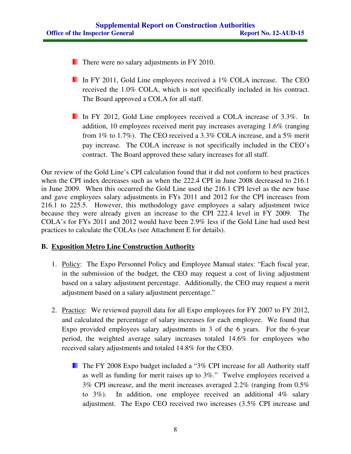**There were no salary adjustments in FY 2010.** 

- In FY 2011, Gold Line employees received a 1% COLA increase. The CEO received the 1.0% COLA, which is not specifically included in his contract. The Board approved a COLA for all staff.
- In FY 2012, Gold Line employees received a COLA increase of 3.3%. In addition, 10 employees received merit pay increases averaging 1.6% (ranging from 1% to 1.7%). The CEO received a 3.3% COLA increase, and a 5% merit pay increase. The COLA increase is not specifically included in the CEO's contract. The Board approved these salary increases for all staff.

Our review of the Gold Line's CPI calculation found that it did not conform to best practices when the CPI index decreases such as when the 222.4 CPI in June 2008 decreased to 216.1 in June 2009. When this occurred the Gold Line used the 216.1 CPI level as the new base and gave employees salary adjustments in FYs 2011 and 2012 for the CPI increases from 216.1 to 225.5. However, this methodology gave employees a salary adjustment twice because they were already given an increase to the CPI 222.4 level in FY 2009. The COLA's for FYs 2011 and 2012 would have been 2.9% less if the Gold Line had used best practices to calculate the COLAs (see Attachment E for details).

### **B. Exposition Metro Line Construction Authority**

- 1. Policy: The Expo Personnel Policy and Employee Manual states: "Each fiscal year, in the submission of the budget, the CEO may request a cost of living adjustment based on a salary adjustment percentage. Additionally, the CEO may request a merit adjustment based on a salary adjustment percentage."
- 2. Practice: We reviewed payroll data for all Expo employees for FY 2007 to FY 2012, and calculated the percentage of salary increases for each employee. We found that Expo provided employees salary adjustments in 3 of the 6 years. For the 6-year period, the weighted average salary increases totaled 14.6% for employees who received salary adjustments and totaled 14.8% for the CEO.
	- **The FY 2008 Expo budget included a "3% CPI increase for all Authority staff** as well as funding for merit raises up to 3%." Twelve employees received a 3% CPI increase, and the merit increases averaged 2.2% (ranging from 0.5% to 3%). In addition, one employee received an additional 4% salary adjustment. The Expo CEO received two increases (3.5% CPI increase and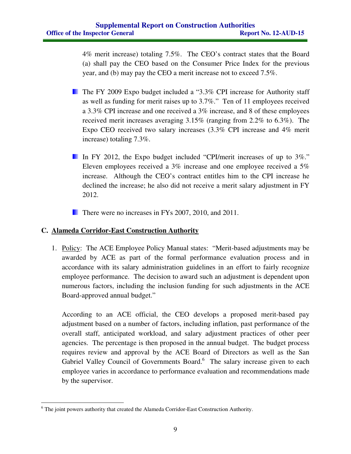4% merit increase) totaling 7.5%. The CEO's contract states that the Board (a) shall pay the CEO based on the Consumer Price Index for the previous year, and (b) may pay the CEO a merit increase not to exceed 7.5%.

- **The FY 2009 Expo budget included a "3.3% CPI increase for Authority staff** as well as funding for merit raises up to 3.7%." Ten of 11 employees received a 3.3% CPI increase and one received a 3% increase, and 8 of these employees received merit increases averaging 3.15% (ranging from 2.2% to 6.3%). The Expo CEO received two salary increases (3.3% CPI increase and 4% merit increase) totaling 7.3%.
- In FY 2012, the Expo budget included "CPI/merit increases of up to 3%." Eleven employees received a 3% increase and one employee received a 5% increase. Although the CEO's contract entitles him to the CPI increase he declined the increase; he also did not receive a merit salary adjustment in FY 2012.
- There were no increases in FYs 2007, 2010, and 2011.

### **C. Alameda Corridor-East Construction Authority**

1. Policy: The ACE Employee Policy Manual states: "Merit-based adjustments may be awarded by ACE as part of the formal performance evaluation process and in accordance with its salary administration guidelines in an effort to fairly recognize employee performance. The decision to award such an adjustment is dependent upon numerous factors, including the inclusion funding for such adjustments in the ACE Board-approved annual budget."

According to an ACE official, the CEO develops a proposed merit-based pay adjustment based on a number of factors, including inflation, past performance of the overall staff, anticipated workload, and salary adjustment practices of other peer agencies. The percentage is then proposed in the annual budget. The budget process requires review and approval by the ACE Board of Directors as well as the San Gabriel Valley Council of Governments Board.<sup>6</sup> The salary increase given to each employee varies in accordance to performance evaluation and recommendations made by the supervisor.

 $\overline{a}$ <sup>6</sup> The joint powers authority that created the Alameda Corridor-East Construction Authority.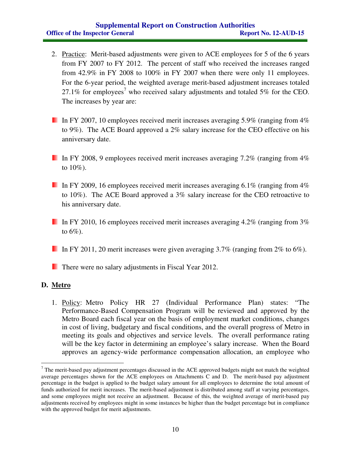### **Supplemental Report on Construction Authorities Office of the Inspector General Report No. 12-AUD-15**

- 2. Practice: Merit-based adjustments were given to ACE employees for 5 of the 6 years from FY 2007 to FY 2012. The percent of staff who received the increases ranged from 42.9% in FY 2008 to 100% in FY 2007 when there were only 11 employees. For the 6-year period, the weighted average merit-based adjustment increases totaled 27.1% for employees<sup>7</sup> who received salary adjustments and totaled 5% for the CEO. The increases by year are:
- In FY 2007, 10 employees received merit increases averaging 5.9% (ranging from  $4\%$ ) to 9%). The ACE Board approved a 2% salary increase for the CEO effective on his anniversary date.
- In FY 2008, 9 employees received merit increases averaging 7.2% (ranging from 4%) to  $10\%$ ).
- In FY 2009, 16 employees received merit increases averaging 6.1% (ranging from  $4\%$ ) to 10%). The ACE Board approved a 3% salary increase for the CEO retroactive to his anniversary date.
- In FY 2010, 16 employees received merit increases averaging  $4.2\%$  (ranging from  $3\%$ ) to  $6\%$ ).
- In FY 2011, 20 merit increases were given averaging  $3.7\%$  (ranging from  $2\%$  to 6%).
- **There were no salary adjustments in Fiscal Year 2012.**

### **D. Metro**

 $\overline{a}$ 

1. Policy: Metro Policy HR 27 (Individual Performance Plan) states: "The Performance-Based Compensation Program will be reviewed and approved by the Metro Board each fiscal year on the basis of employment market conditions, changes in cost of living, budgetary and fiscal conditions, and the overall progress of Metro in meeting its goals and objectives and service levels. The overall performance rating will be the key factor in determining an employee's salary increase. When the Board approves an agency-wide performance compensation allocation, an employee who

 $7$  The merit-based pay adjustment percentages discussed in the ACE approved budgets might not match the weighted average percentages shown for the ACE employees on Attachments C and D. The merit-based pay adjustment percentage in the budget is applied to the budget salary amount for all employees to determine the total amount of funds authorized for merit increases. The merit-based adjustment is distributed among staff at varying percentages, and some employees might not receive an adjustment. Because of this, the weighted average of merit-based pay adjustments received by employees might in some instances be higher than the budget percentage but in compliance with the approved budget for merit adjustments.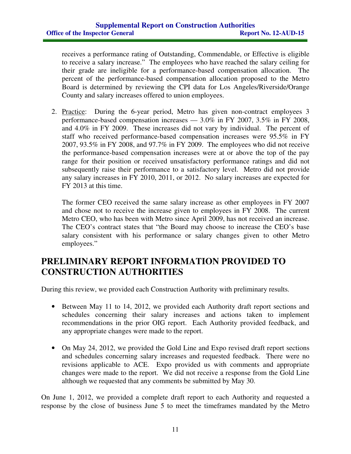receives a performance rating of Outstanding, Commendable, or Effective is eligible to receive a salary increase." The employees who have reached the salary ceiling for their grade are ineligible for a performance-based compensation allocation. The percent of the performance-based compensation allocation proposed to the Metro Board is determined by reviewing the CPI data for Los Angeles/Riverside/Orange County and salary increases offered to union employees.

2. Practice: During the 6-year period, Metro has given non-contract employees 3 performance-based compensation increases — 3.0% in FY 2007, 3.5% in FY 2008, and 4.0% in FY 2009. These increases did not vary by individual. The percent of staff who received performance-based compensation increases were 95.5% in FY 2007, 93.5% in FY 2008, and 97.7% in FY 2009. The employees who did not receive the performance-based compensation increases were at or above the top of the pay range for their position or received unsatisfactory performance ratings and did not subsequently raise their performance to a satisfactory level. Metro did not provide any salary increases in FY 2010, 2011, or 2012. No salary increases are expected for FY 2013 at this time.

The former CEO received the same salary increase as other employees in FY 2007 and chose not to receive the increase given to employees in FY 2008. The current Metro CEO, who has been with Metro since April 2009, has not received an increase. The CEO's contract states that "the Board may choose to increase the CEO's base salary consistent with his performance or salary changes given to other Metro employees."

# **PRELIMINARY REPORT INFORMATION PROVIDED TO CONSTRUCTION AUTHORITIES**

During this review, we provided each Construction Authority with preliminary results.

- Between May 11 to 14, 2012, we provided each Authority draft report sections and schedules concerning their salary increases and actions taken to implement recommendations in the prior OIG report. Each Authority provided feedback, and any appropriate changes were made to the report.
- On May 24, 2012, we provided the Gold Line and Expo revised draft report sections and schedules concerning salary increases and requested feedback. There were no revisions applicable to ACE. Expo provided us with comments and appropriate changes were made to the report. We did not receive a response from the Gold Line although we requested that any comments be submitted by May 30.

On June 1, 2012, we provided a complete draft report to each Authority and requested a response by the close of business June 5 to meet the timeframes mandated by the Metro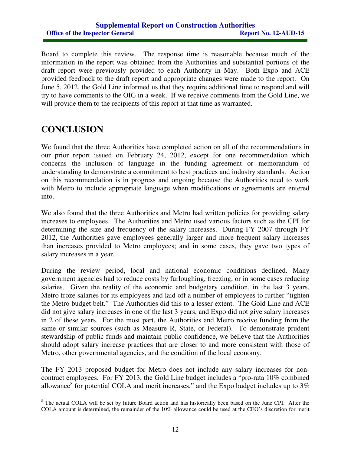Board to complete this review. The response time is reasonable because much of the information in the report was obtained from the Authorities and substantial portions of the draft report were previously provided to each Authority in May. Both Expo and ACE provided feedback to the draft report and appropriate changes were made to the report. On June 5, 2012, the Gold Line informed us that they require additional time to respond and will try to have comments to the OIG in a week. If we receive comments from the Gold Line, we will provide them to the recipients of this report at that time as warranted.

# **CONCLUSION**

We found that the three Authorities have completed action on all of the recommendations in our prior report issued on February 24, 2012, except for one recommendation which concerns the inclusion of language in the funding agreement or memorandum of understanding to demonstrate a commitment to best practices and industry standards. Action on this recommendation is in progress and ongoing because the Authorities need to work with Metro to include appropriate language when modifications or agreements are entered into.

We also found that the three Authorities and Metro had written policies for providing salary increases to employees. The Authorities and Metro used various factors such as the CPI for determining the size and frequency of the salary increases. During FY 2007 through FY 2012, the Authorities gave employees generally larger and more frequent salary increases than increases provided to Metro employees; and in some cases, they gave two types of salary increases in a year.

During the review period, local and national economic conditions declined. Many government agencies had to reduce costs by furloughing, freezing, or in some cases reducing salaries. Given the reality of the economic and budgetary condition, in the last 3 years, Metro froze salaries for its employees and laid off a number of employees to further "tighten the Metro budget belt." The Authorities did this to a lesser extent. The Gold Line and ACE did not give salary increases in one of the last 3 years, and Expo did not give salary increases in 2 of these years. For the most part, the Authorities and Metro receive funding from the same or similar sources (such as Measure R, State, or Federal). To demonstrate prudent stewardship of public funds and maintain public confidence, we believe that the Authorities should adopt salary increase practices that are closer to and more consistent with those of Metro, other governmental agencies, and the condition of the local economy.

The FY 2013 proposed budget for Metro does not include any salary increases for noncontract employees. For FY 2013, the Gold Line budget includes a "pro-rata 10% combined allowance<sup>8</sup> for potential COLA and merit increases," and the Expo budget includes up to  $3\%$ 

<sup>&</sup>lt;sup>8</sup> The actual COLA will be set by future Board action and has historically been based on the June CPI. After the COLA amount is determined, the remainder of the 10% allowance could be used at the CEO's discretion for merit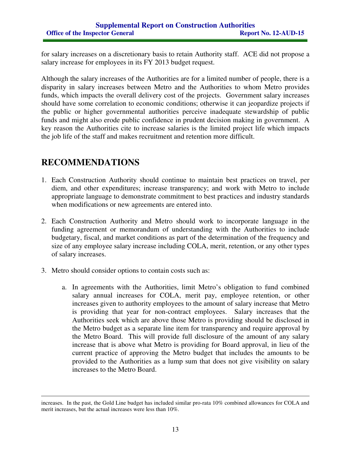for salary increases on a discretionary basis to retain Authority staff. ACE did not propose a salary increase for employees in its FY 2013 budget request.

Although the salary increases of the Authorities are for a limited number of people, there is a disparity in salary increases between Metro and the Authorities to whom Metro provides funds, which impacts the overall delivery cost of the projects. Government salary increases should have some correlation to economic conditions; otherwise it can jeopardize projects if the public or higher governmental authorities perceive inadequate stewardship of public funds and might also erode public confidence in prudent decision making in government. A key reason the Authorities cite to increase salaries is the limited project life which impacts the job life of the staff and makes recruitment and retention more difficult.

# **RECOMMENDATIONS**

 $\overline{a}$ 

- 1. Each Construction Authority should continue to maintain best practices on travel, per diem, and other expenditures; increase transparency; and work with Metro to include appropriate language to demonstrate commitment to best practices and industry standards when modifications or new agreements are entered into.
- 2. Each Construction Authority and Metro should work to incorporate language in the funding agreement or memorandum of understanding with the Authorities to include budgetary, fiscal, and market conditions as part of the determination of the frequency and size of any employee salary increase including COLA, merit, retention, or any other types of salary increases.
- 3. Metro should consider options to contain costs such as:
	- a. In agreements with the Authorities, limit Metro's obligation to fund combined salary annual increases for COLA, merit pay, employee retention, or other increases given to authority employees to the amount of salary increase that Metro is providing that year for non-contract employees. Salary increases that the Authorities seek which are above those Metro is providing should be disclosed in the Metro budget as a separate line item for transparency and require approval by the Metro Board. This will provide full disclosure of the amount of any salary increase that is above what Metro is providing for Board approval, in lieu of the current practice of approving the Metro budget that includes the amounts to be provided to the Authorities as a lump sum that does not give visibility on salary increases to the Metro Board.

increases. In the past, the Gold Line budget has included similar pro-rata 10% combined allowances for COLA and merit increases, but the actual increases were less than 10%.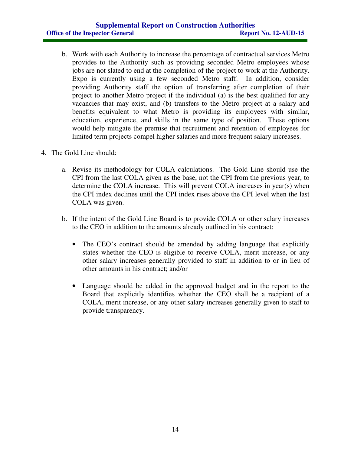### **Supplemental Report on Construction Authorities Office of the Inspector General Report No. 12-AUD-15**

- b. Work with each Authority to increase the percentage of contractual services Metro provides to the Authority such as providing seconded Metro employees whose jobs are not slated to end at the completion of the project to work at the Authority. Expo is currently using a few seconded Metro staff. In addition, consider providing Authority staff the option of transferring after completion of their project to another Metro project if the individual (a) is the best qualified for any vacancies that may exist, and (b) transfers to the Metro project at a salary and benefits equivalent to what Metro is providing its employees with similar, education, experience, and skills in the same type of position. These options would help mitigate the premise that recruitment and retention of employees for limited term projects compel higher salaries and more frequent salary increases.
- 4. The Gold Line should:
	- a. Revise its methodology for COLA calculations. The Gold Line should use the CPI from the last COLA given as the base, not the CPI from the previous year, to determine the COLA increase. This will prevent COLA increases in year(s) when the CPI index declines until the CPI index rises above the CPI level when the last COLA was given.
	- b. If the intent of the Gold Line Board is to provide COLA or other salary increases to the CEO in addition to the amounts already outlined in his contract:
		- The CEO's contract should be amended by adding language that explicitly states whether the CEO is eligible to receive COLA, merit increase, or any other salary increases generally provided to staff in addition to or in lieu of other amounts in his contract; and/or
		- Language should be added in the approved budget and in the report to the Board that explicitly identifies whether the CEO shall be a recipient of a COLA, merit increase, or any other salary increases generally given to staff to provide transparency.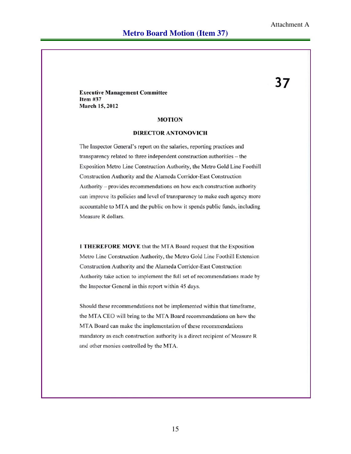37

**Executive Management Committee Item #37** March 15, 2012

#### **MOTION**

#### **DIRECTOR ANTONOVICH**

The Inspector General's report on the salaries, reporting practices and transparency related to three independent construction authorities - the Exposition Metro Line Construction Authority, the Metro Gold Line Foothill Construction Authority and the Alameda Corridor-East Construction Authority - provides recommendations on how each construction authority can improve its policies and level of transparency to make each agency more accountable to MTA and the public on how it spends public funds, including Measure R dollars.

I THEREFORE MOVE that the MTA Board request that the Exposition Metro Line Construction Authority, the Metro Gold Line Foothill Extension Construction Authority and the Alameda Corridor-East Construction Authority take action to implement the full set of recommendations made by the Inspector General in this report within 45 days.

Should these recommendations not be implemented within that timeframe, the MTA CEO will bring to the MTA Board recommendations on how the MTA Board can make the implementation of these recommendations mandatory as each construction authority is a direct recipient of Measure R and other monies controlled by the MTA.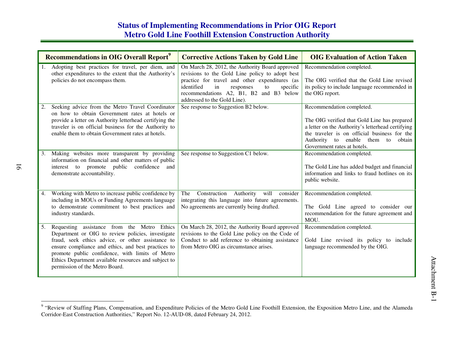|    | <b>Recommendations in OIG Overall Report</b> <sup>9</sup>                                                                                                                                                                                                                                                                                                 | <b>Corrective Actions Taken by Gold Line</b>                                                                                                                                                                                                                                       | <b>OIG Evaluation of Action Taken</b>                                                                                                                                                                                                                  |
|----|-----------------------------------------------------------------------------------------------------------------------------------------------------------------------------------------------------------------------------------------------------------------------------------------------------------------------------------------------------------|------------------------------------------------------------------------------------------------------------------------------------------------------------------------------------------------------------------------------------------------------------------------------------|--------------------------------------------------------------------------------------------------------------------------------------------------------------------------------------------------------------------------------------------------------|
|    | Adopting best practices for travel, per diem, and<br>other expenditures to the extent that the Authority's<br>policies do not encompass them.                                                                                                                                                                                                             | On March 28, 2012, the Authority Board approved<br>revisions to the Gold Line policy to adopt best<br>practice for travel and other expenditures (as<br>identified<br>in<br>responses<br>to<br>specific<br>recommendations A2, B1, B2 and B3 below<br>addressed to the Gold Line). | Recommendation completed.<br>The OIG verified that the Gold Line revised<br>its policy to include language recommended in<br>the OIG report.                                                                                                           |
| 2. | Seeking advice from the Metro Travel Coordinator<br>on how to obtain Government rates at hotels or<br>provide a letter on Authority letterhead certifying the<br>traveler is on official business for the Authority to<br>enable them to obtain Government rates at hotels.                                                                               | See response to Suggestion B2 below.                                                                                                                                                                                                                                               | Recommendation completed.<br>The OIG verified that Gold Line has prepared<br>a letter on the Authority's letterhead certifying<br>the traveler is on official business for the<br>Authority to enable them to<br>obtain<br>Government rates at hotels. |
| 3. | Making websites more transparent by providing<br>information on financial and other matters of public<br>interest to promote public<br>confidence<br>and<br>demonstrate accountability.                                                                                                                                                                   | See response to Suggestion C1 below.                                                                                                                                                                                                                                               | Recommendation completed.<br>The Gold Line has added budget and financial<br>information and links to fraud hotlines on its<br>public website.                                                                                                         |
| 4. | Working with Metro to increase public confidence by<br>including in MOUs or Funding Agreements language<br>to demonstrate commitment to best practices and<br>industry standards.                                                                                                                                                                         | Authority will<br>Construction<br>consider<br>The<br>integrating this language into future agreements.<br>No agreements are currently being drafted.                                                                                                                               | Recommendation completed.<br>The Gold Line agreed to consider our<br>recommendation for the future agreement and<br>MOU.                                                                                                                               |
| 5. | Requesting assistance from the Metro Ethics<br>Department or OIG to review policies, investigate<br>fraud, seek ethics advice, or other assistance to<br>ensure compliance and ethics, and best practices to<br>promote public confidence, with limits of Metro<br>Ethics Department available resources and subject to<br>permission of the Metro Board. | On March 28, 2012, the Authority Board approved<br>revisions to the Gold Line policy on the Code of<br>Conduct to add reference to obtaining assistance<br>from Metro OIG as circumstance arises.                                                                                  | Recommendation completed.<br>Gold Line revised its policy to include<br>language recommended by the OIG.                                                                                                                                               |

<sup>&</sup>lt;sup>9</sup> "Review of Staffing Plans, Compensation, and Expenditure Policies of the Metro Gold Line Foothill Extension, the Exposition Metro Line, and the Alameda Corridor-East Construction Authorities," Report No. 12-AUD-08, dated February 24, 2012.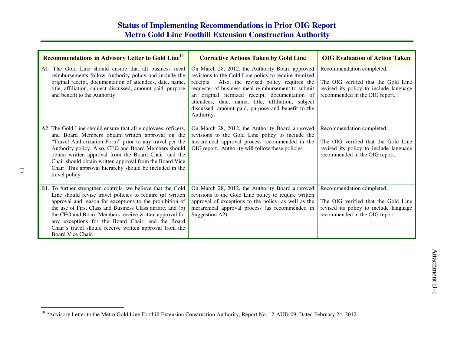| Recommendations in Advisory Letter to Gold Line <sup>10</sup>                                                                                                                                                                                                                                                                                                                                                                                      | <b>Corrective Actions Taken by Gold Line</b>                                                                                                                                                                                                                                                                                                                                                  | <b>OIG Evaluation of Action Taken</b>                                                                                                        |
|----------------------------------------------------------------------------------------------------------------------------------------------------------------------------------------------------------------------------------------------------------------------------------------------------------------------------------------------------------------------------------------------------------------------------------------------------|-----------------------------------------------------------------------------------------------------------------------------------------------------------------------------------------------------------------------------------------------------------------------------------------------------------------------------------------------------------------------------------------------|----------------------------------------------------------------------------------------------------------------------------------------------|
| A1. The Gold Line should ensure that all business meal<br>reimbursements follow Authority policy and include the<br>original receipt, documentation of attendees, date, name,<br>title, affiliation, subject discussed, amount paid, purpose<br>and benefit to the Authority                                                                                                                                                                       | On March 28, 2012, the Authority Board approved<br>revisions to the Gold Line policy to require itemized<br>receipts. Also, the revised policy requires the<br>requester of business meal reimbursement to submit<br>an original itemized receipt, documentation of<br>attendees, date, name, title, affiliation, subject<br>discussed, amount paid, purpose and benefit to the<br>Authority. | Recommendation completed.<br>The OIG verified that the Gold Line<br>revised its policy to include language<br>recommended in the OIG report. |
| A2. The Gold Line should ensure that all employees, officers,<br>and Board Members obtain written approval on the<br>"Travel Authorization Form" prior to any travel per the<br>Authority policy. Also, CEO and Board Members should<br>obtain written approval from the Board Chair, and the<br>Chair should obtain written approval from the Board Vice<br>Chair. This approval hierarchy should be included in the<br>travel policy.            | On March 28, 2012, the Authority Board approved<br>revisions to the Gold Line policy to include the<br>hierarchical approval process recommended in the<br>OIG report. Authority will follow these policies.                                                                                                                                                                                  | Recommendation completed.<br>The OIG verified that the Gold Line<br>revised its policy to include language<br>recommended in the OIG report. |
| B1. To further strengthen controls, we believe that the Gold<br>Line should revise travel policies to require (a) written<br>approval and reason for exceptions to the prohibition of<br>the use of First Class and Business Class airfare, and (b)<br>the CEO and Board Members receive written approval for<br>any exceptions for the Board Chair, and the Board<br>Chair's travel should receive written approval from the<br>Board Vice Chair. | On March 28, 2012, the Authority Board approved<br>revisions to the Gold Line policy to require written<br>approval of exceptions to the policy, as well as the<br>hierarchical approval process (as recommended in<br>Suggestion A2).                                                                                                                                                        | Recommendation completed.<br>The OIG verified that the Gold Line<br>revised its policy to include language<br>recommended in the OIG report. |

<sup>&</sup>lt;sup>10</sup> "Advisory Letter to the Metro Gold Line Foothill Extension Construction Authority, Report No. 12-AUD-09, Dated February 24, 2012.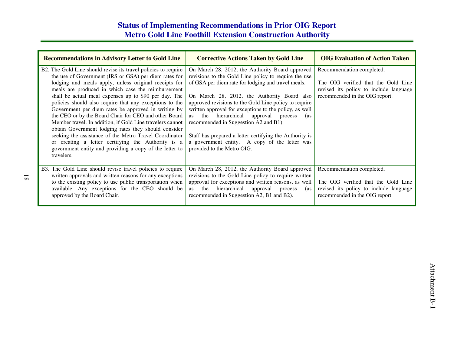| <b>Recommendations in Advisory Letter to Gold Line</b>                                                                                                                                                                                                                                                                                                                                                                                                                                                                                                                                                                                                                                                                                                                                   | <b>Corrective Actions Taken by Gold Line</b>                                                                                                                                                                                                                                                                                                                                                                                                                                                                                                                                   | <b>OIG Evaluation of Action Taken</b>                                                                                                        |
|------------------------------------------------------------------------------------------------------------------------------------------------------------------------------------------------------------------------------------------------------------------------------------------------------------------------------------------------------------------------------------------------------------------------------------------------------------------------------------------------------------------------------------------------------------------------------------------------------------------------------------------------------------------------------------------------------------------------------------------------------------------------------------------|--------------------------------------------------------------------------------------------------------------------------------------------------------------------------------------------------------------------------------------------------------------------------------------------------------------------------------------------------------------------------------------------------------------------------------------------------------------------------------------------------------------------------------------------------------------------------------|----------------------------------------------------------------------------------------------------------------------------------------------|
| B2. The Gold Line should revise its travel policies to require<br>the use of Government (IRS or GSA) per diem rates for<br>lodging and meals apply, unless original receipts for<br>meals are produced in which case the reimbursement<br>shall be actual meal expenses up to \$90 per day. The<br>policies should also require that any exceptions to the<br>Government per diem rates be approved in writing by<br>the CEO or by the Board Chair for CEO and other Board<br>Member travel. In addition, if Gold Line travelers cannot<br>obtain Government lodging rates they should consider<br>seeking the assistance of the Metro Travel Coordinator<br>or creating a letter certifying the Authority is a<br>government entity and providing a copy of the letter to<br>travelers. | On March 28, 2012, the Authority Board approved<br>revisions to the Gold Line policy to require the use<br>of GSA per diem rate for lodging and travel meals.<br>On March 28, 2012, the Authority Board also<br>approved revisions to the Gold Line policy to require<br>written approval for exceptions to the policy, as well<br>hierarchical approval process<br>the<br><b>as</b><br>(as<br>recommended in Suggestion A2 and B1).<br>Staff has prepared a letter certifying the Authority is<br>a government entity. A copy of the letter was<br>provided to the Metro OIG. | Recommendation completed.<br>The OIG verified that the Gold Line<br>revised its policy to include language<br>recommended in the OIG report. |
| B3. The Gold Line should revise travel policies to require<br>written approvals and written reasons for any exceptions<br>to the existing policy to use public transportation when<br>available. Any exceptions for the CEO should be<br>approved by the Board Chair.                                                                                                                                                                                                                                                                                                                                                                                                                                                                                                                    | On March 28, 2012, the Authority Board approved<br>revisions to the Gold Line policy to require written<br>approval for exceptions and written reasons, as well<br>hierarchical approval<br>the<br>process<br>as.<br>(as<br>recommended in Suggestion A2, B1 and B2).                                                                                                                                                                                                                                                                                                          | Recommendation completed.<br>The OIG verified that the Gold Line<br>revised its policy to include language<br>recommended in the OIG report. |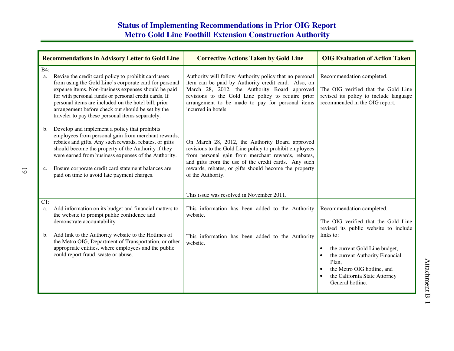|           | <b>Recommendations in Advisory Letter to Gold Line</b>                                                                                                                                                                                                                                                                                                                                         | <b>Corrective Actions Taken by Gold Line</b>                                                                                                                                                                                                                                                                                                        | <b>OIG Evaluation of Action Taken</b>                                                                                                                                                                                                                                                  |
|-----------|------------------------------------------------------------------------------------------------------------------------------------------------------------------------------------------------------------------------------------------------------------------------------------------------------------------------------------------------------------------------------------------------|-----------------------------------------------------------------------------------------------------------------------------------------------------------------------------------------------------------------------------------------------------------------------------------------------------------------------------------------------------|----------------------------------------------------------------------------------------------------------------------------------------------------------------------------------------------------------------------------------------------------------------------------------------|
| B4:<br>a. | Revise the credit card policy to prohibit card users<br>from using the Gold Line's corporate card for personal<br>expense items. Non-business expenses should be paid<br>for with personal funds or personal credit cards. If<br>personal items are included on the hotel bill, prior<br>arrangement before check out should be set by the<br>traveler to pay these personal items separately. | Authority will follow Authority policy that no personal<br>item can be paid by Authority credit card. Also, on<br>March 28, 2012, the Authority Board approved<br>revisions to the Gold Line policy to require prior<br>arrangement to be made to pay for personal items<br>incurred in hotels.                                                     | Recommendation completed.<br>The OIG verified that the Gold Line<br>revised its policy to include language<br>recommended in the OIG report.                                                                                                                                           |
| b.<br>c.  | Develop and implement a policy that prohibits<br>employees from personal gain from merchant rewards,<br>rebates and gifts. Any such rewards, rebates, or gifts<br>should become the property of the Authority if they<br>were earned from business expenses of the Authority.<br>Ensure corporate credit card statement balances are<br>paid on time to avoid late payment charges.            | On March 28, 2012, the Authority Board approved<br>revisions to the Gold Line policy to prohibit employees<br>from personal gain from merchant rewards, rebates,<br>and gifts from the use of the credit cards. Any such<br>rewards, rebates, or gifts should become the property<br>of the Authority.<br>This issue was resolved in November 2011. |                                                                                                                                                                                                                                                                                        |
| $C1$ :    |                                                                                                                                                                                                                                                                                                                                                                                                |                                                                                                                                                                                                                                                                                                                                                     |                                                                                                                                                                                                                                                                                        |
| a.<br>b.  | Add information on its budget and financial matters to<br>the website to prompt public confidence and<br>demonstrate accountability<br>Add link to the Authority website to the Hotlines of<br>the Metro OIG, Department of Transportation, or other<br>appropriate entities, where employees and the public<br>could report fraud, waste or abuse.                                            | This information has been added to the Authority<br>website.<br>This information has been added to the Authority<br>website.                                                                                                                                                                                                                        | Recommendation completed.<br>The OIG verified that the Gold Line<br>revised its public website to include<br>links to:<br>the current Gold Line budget,<br>the current Authority Financial<br>Plan,<br>the Metro OIG hotline, and<br>the California State Attorney<br>General hotline. |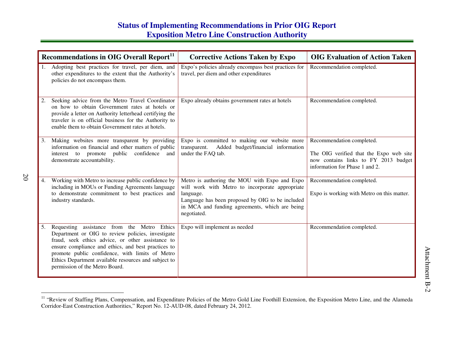# **Status of Implementing Recommendations in Prior OIG Report Exposition Metro Line Construction Authority**

|    | Recommendations in OIG Overall Report <sup>11</sup>                                                                                                                                                                                                                                                                                                       | <b>Corrective Actions Taken by Expo</b>                                                                                                                                                                                            | <b>OIG Evaluation of Action Taken</b>                                                                                                          |
|----|-----------------------------------------------------------------------------------------------------------------------------------------------------------------------------------------------------------------------------------------------------------------------------------------------------------------------------------------------------------|------------------------------------------------------------------------------------------------------------------------------------------------------------------------------------------------------------------------------------|------------------------------------------------------------------------------------------------------------------------------------------------|
|    | Adopting best practices for travel, per diem, and<br>other expenditures to the extent that the Authority's<br>policies do not encompass them.                                                                                                                                                                                                             | Expo's policies already encompass best practices for<br>travel, per diem and other expenditures                                                                                                                                    | Recommendation completed.                                                                                                                      |
| 2. | Seeking advice from the Metro Travel Coordinator<br>on how to obtain Government rates at hotels or<br>provide a letter on Authority letterhead certifying the<br>traveler is on official business for the Authority to<br>enable them to obtain Government rates at hotels.                                                                               | Expo already obtains government rates at hotels                                                                                                                                                                                    | Recommendation completed.                                                                                                                      |
| 3. | Making websites more transparent by providing<br>information on financial and other matters of public<br>interest to promote public<br>confidence<br>and<br>demonstrate accountability.                                                                                                                                                                   | Expo is committed to making our website more<br>transparent.<br>Added budget/financial information<br>under the FAQ tab.                                                                                                           | Recommendation completed.<br>The OIG verified that the Expo web site<br>now contains links to FY 2013 budget<br>information for Phase 1 and 2. |
| 4. | Working with Metro to increase public confidence by<br>including in MOUs or Funding Agreements language<br>to demonstrate commitment to best practices and<br>industry standards.                                                                                                                                                                         | Metro is authoring the MOU with Expo and Expo<br>will work with Metro to incorporate appropriate<br>language.<br>Language has been proposed by OIG to be included<br>in MCA and funding agreements, which are being<br>negotiated. | Recommendation completed.<br>Expo is working with Metro on this matter.                                                                        |
| 5. | Requesting assistance from the Metro Ethics<br>Department or OIG to review policies, investigate<br>fraud, seek ethics advice, or other assistance to<br>ensure compliance and ethics, and best practices to<br>promote public confidence, with limits of Metro<br>Ethics Department available resources and subject to<br>permission of the Metro Board. | Expo will implement as needed                                                                                                                                                                                                      | Recommendation completed.                                                                                                                      |

<sup>&</sup>lt;sup>11</sup> "Review of Staffing Plans, Compensation, and Expenditure Policies of the Metro Gold Line Foothill Extension, the Exposition Metro Line, and the Alameda Corridor-East Construction Authorities," Report No. 12-AUD-08, dated February 24, 2012.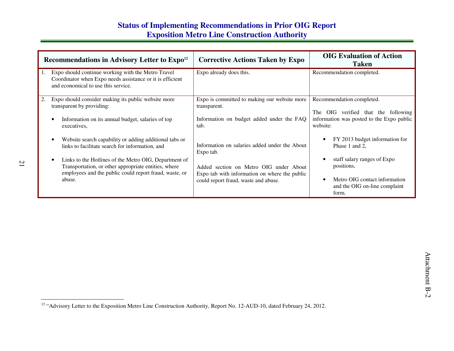# **Status of Implementing Recommendations in Prior OIG Report Exposition Metro Line Construction Authority**

|    | Recommendations in Advisory Letter to Expo <sup>12</sup>                                                                                                                | <b>Corrective Actions Taken by Expo</b>                                                                           | <b>OIG</b> Evaluation of Action<br><b>Taken</b>                         |  |
|----|-------------------------------------------------------------------------------------------------------------------------------------------------------------------------|-------------------------------------------------------------------------------------------------------------------|-------------------------------------------------------------------------|--|
| 1. | Expo should continue working with the Metro Travel<br>Coordinator when Expo needs assistance or it is efficient<br>and economical to use this service.                  | Expo already does this.                                                                                           | Recommendation completed.                                               |  |
| 2. | Expo should consider making its public website more<br>transparent by providing:                                                                                        | Expo is committed to making our website more<br>transparent.                                                      | Recommendation completed.<br>verified that the following<br>OIG         |  |
|    | Information on its annual budget, salaries of top<br>executives,                                                                                                        | The<br>information was posted to the Expo public<br>Information on budget added under the FAQ<br>website:<br>tab. |                                                                         |  |
|    | Website search capability or adding additional tabs or<br>links to facilitate search for information, and                                                               | Information on salaries added under the About<br>Expo tab.                                                        | FY 2013 budget information for<br>Phase 1 and 2,                        |  |
|    | Links to the Hotlines of the Metro OIG, Department of<br>Transportation, or other appropriate entities, where<br>employees and the public could report fraud, waste, or | Added section on Metro OIG under About<br>Expo tab with information on where the public                           | staff salary ranges of Expo<br>positions,                               |  |
|    | abuse.                                                                                                                                                                  | could report fraud, waste and abuse.                                                                              | Metro OIG contact information<br>and the OIG on-line complaint<br>form. |  |

<sup>&</sup>lt;sup>12</sup> "Advisory Letter to the Exposition Metro Line Construction Authority, Report No. 12-AUD-10, dated February 24, 2012.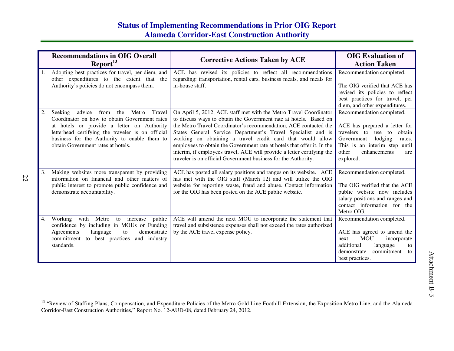# **Status of Implementing Recommendations in Prior OIG Report Alameda Corridor-East Construction Authority**

|    | <b>Recommendations in OIG Overall</b><br>Report <sup>13</sup>                                                                                                                                                                                                                                 | <b>Corrective Actions Taken by ACE</b>                                                                                                                                                                                                                                                                                                                                                                                                                                                                                                                          | <b>OIG</b> Evaluation of<br><b>Action Taken</b>                                                                                                                                                              |
|----|-----------------------------------------------------------------------------------------------------------------------------------------------------------------------------------------------------------------------------------------------------------------------------------------------|-----------------------------------------------------------------------------------------------------------------------------------------------------------------------------------------------------------------------------------------------------------------------------------------------------------------------------------------------------------------------------------------------------------------------------------------------------------------------------------------------------------------------------------------------------------------|--------------------------------------------------------------------------------------------------------------------------------------------------------------------------------------------------------------|
|    | Adopting best practices for travel, per diem, and<br>other expenditures to the extent that the<br>Authority's policies do not encompass them.                                                                                                                                                 | ACE has revised its policies to reflect all recommendations<br>regarding: transportation, rental cars, business meals, and meals for<br>in-house staff.                                                                                                                                                                                                                                                                                                                                                                                                         | Recommendation completed.<br>The OIG verified that ACE has<br>revised its policies to reflect<br>best practices for travel, per<br>diem, and other expenditures.                                             |
| 2. | advice<br>Metro<br>Seeking<br>from<br>the<br>Travel<br>Coordinator on how to obtain Government rates<br>at hotels or provide a letter on Authority<br>letterhead certifying the traveler is on official<br>business for the Authority to enable them to<br>obtain Government rates at hotels. | On April 5, 2012, ACE staff met with the Metro Travel Coordinator<br>to discuss ways to obtain the Government rate at hotels. Based on<br>the Metro Travel Coordinator's recommendation, ACE contacted the<br>States General Service Department's Travel Specialist and is<br>working on obtaining a travel credit card that would allow<br>employees to obtain the Government rate at hotels that offer it. In the<br>interim, if employees travel, ACE will provide a letter certifying the<br>traveler is on official Government business for the Authority. | Recommendation completed.<br>ACE has prepared a letter for<br>travelers to use to<br>obtain<br>lodging<br>Government<br>rates.<br>This is an interim step until<br>enhancements<br>other<br>are<br>explored. |
| 3. | Making websites more transparent by providing<br>information on financial and other matters of<br>public interest to promote public confidence and<br>demonstrate accountability.                                                                                                             | ACE has posted all salary positions and ranges on its website. ACE<br>has met with the OIG staff (March 12) and will utilize the OIG<br>website for reporting waste, fraud and abuse. Contact information<br>for the OIG has been posted on the ACE public website.                                                                                                                                                                                                                                                                                             | Recommendation completed.<br>The OIG verified that the ACE<br>public website now includes<br>salary positions and ranges and<br>contact information for the<br>Metro OIG.                                    |
| 4. | Working<br>with<br>Metro to increase public<br>confidence by including in MOUs or Funding<br>language<br>demonstrate<br>Agreements<br>to<br>commitment to best practices<br>and industry<br>standards.                                                                                        | ACE will amend the next MOU to incorporate the statement that<br>travel and subsistence expenses shall not exceed the rates authorized<br>by the ACE travel expense policy.                                                                                                                                                                                                                                                                                                                                                                                     | Recommendation completed.<br>ACE has agreed to amend the<br><b>MOU</b><br>incorporate<br>next<br>additional<br>language<br>to<br>commitment to<br>demonstrate<br>best practices.                             |

<sup>&</sup>lt;sup>13</sup> "Review of Staffing Plans, Compensation, and Expenditure Policies of the Metro Gold Line Foothill Extension, the Exposition Metro Line, and the Alameda<br>Corridor-East Construction Authorities," Report No. 12-AUD-08, da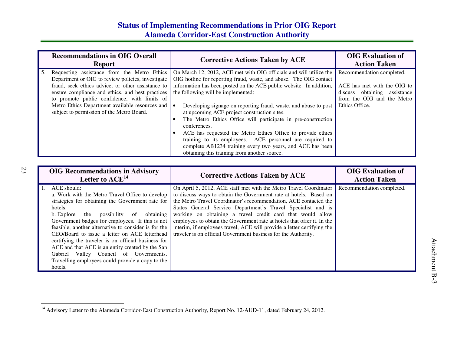# **Status of Implementing Recommendations in Prior OIG Report Alameda Corridor-East Construction Authority**

|    | <b>Recommendations in OIG Overall</b><br><b>Report</b>                                                                                                                                                                                                                                                                                                    | <b>Corrective Actions Taken by ACE</b>                                                                                                                                                                                                                                                                                                                                                                                                                                                                                                                                                                                                                                                           | <b>OIG</b> Evaluation of<br><b>Action Taken</b>                                                                                             |
|----|-----------------------------------------------------------------------------------------------------------------------------------------------------------------------------------------------------------------------------------------------------------------------------------------------------------------------------------------------------------|--------------------------------------------------------------------------------------------------------------------------------------------------------------------------------------------------------------------------------------------------------------------------------------------------------------------------------------------------------------------------------------------------------------------------------------------------------------------------------------------------------------------------------------------------------------------------------------------------------------------------------------------------------------------------------------------------|---------------------------------------------------------------------------------------------------------------------------------------------|
| 5. | Requesting assistance from the Metro Ethics<br>Department or OIG to review policies, investigate<br>fraud, seek ethics advice, or other assistance to<br>ensure compliance and ethics, and best practices<br>to promote public confidence, with limits of<br>Metro Ethics Department available resources and<br>subject to permission of the Metro Board. | On March 12, 2012, ACE met with OIG officials and will utilize the<br>OIG hotline for reporting fraud, waste, and abuse. The OIG contact<br>information has been posted on the ACE public website. In addition,<br>the following will be implemented:<br>Developing signage on reporting fraud, waste, and abuse to post<br>at upcoming ACE project construction sites.<br>The Metro Ethics Office will participate in pre-construction<br>conferences.<br>ACE has requested the Metro Ethics Office to provide ethics<br>training to its employees. ACE personnel are required to<br>complete AB1234 training every two years, and ACE has been<br>obtaining this training from another source. | Recommendation completed.<br>ACE has met with the OIG to<br>discuss obtaining<br>assistance<br>from the OIG and the Metro<br>Ethics Office. |

| <b>OIG Recommendations in Advisory</b><br>Letter to $ACE^{14}$                                                                                                                                                                                                                                                                                                                                                                                                                                                                                                       | <b>Corrective Actions Taken by ACE</b>                                                                                                                                                                                                                                                                                                                                                                                                                                                                                                                          | <b>OIG</b> Evaluation of<br><b>Action Taken</b> |
|----------------------------------------------------------------------------------------------------------------------------------------------------------------------------------------------------------------------------------------------------------------------------------------------------------------------------------------------------------------------------------------------------------------------------------------------------------------------------------------------------------------------------------------------------------------------|-----------------------------------------------------------------------------------------------------------------------------------------------------------------------------------------------------------------------------------------------------------------------------------------------------------------------------------------------------------------------------------------------------------------------------------------------------------------------------------------------------------------------------------------------------------------|-------------------------------------------------|
| ACE should:<br>a. Work with the Metro Travel Office to develop<br>strategies for obtaining the Government rate for<br>hotels.<br>b. Explore<br>obtaining<br>possibility<br>of<br>the<br>Government badges for employees. If this is not<br>feasible, another alternative to consider is for the<br>CEO/Board to issue a letter on ACE letterhead<br>certifying the traveler is on official business for<br>ACE and that ACE is an entity created by the San<br>Gabriel Valley Council of Governments.<br>Travelling employees could provide a copy to the<br>hotels. | On April 5, 2012, ACE staff met with the Metro Travel Coordinator<br>to discuss ways to obtain the Government rate at hotels. Based on<br>the Metro Travel Coordinator's recommendation, ACE contacted the<br>States General Service Department's Travel Specialist and is<br>working on obtaining a travel credit card that would allow<br>employees to obtain the Government rate at hotels that offer it. In the<br>interim, if employees travel, ACE will provide a letter certifying the<br>traveler is on official Government business for the Authority. | Recommendation completed.                       |

<sup>&</sup>lt;sup>14</sup> Advisory Letter to the Alameda Corridor-East Construction Authority, Report No. 12-AUD-11, dated February 24, 2012.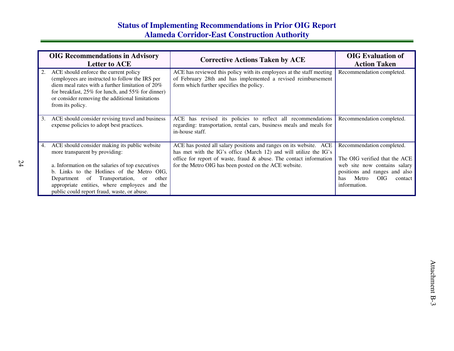# **Status of Implementing Recommendations in Prior OIG Report Alameda Corridor-East Construction Authority**

|    | <b>OIG Recommendations in Advisory</b><br><b>Letter to ACE</b>                                                                                                                                                                                                                                                                 | <b>Corrective Actions Taken by ACE</b>                                                                                                                                                                                                                                    | <b>OIG</b> Evaluation of<br><b>Action Taken</b>                                                                                                                               |
|----|--------------------------------------------------------------------------------------------------------------------------------------------------------------------------------------------------------------------------------------------------------------------------------------------------------------------------------|---------------------------------------------------------------------------------------------------------------------------------------------------------------------------------------------------------------------------------------------------------------------------|-------------------------------------------------------------------------------------------------------------------------------------------------------------------------------|
| 2. | ACE should enforce the current policy<br>(employees are instructed to follow the IRS per<br>diem meal rates with a further limitation of $20\%$<br>for breakfast, 25% for lunch, and 55% for dinner)<br>or consider removing the additional limitations<br>from its policy.                                                    | ACE has reviewed this policy with its employees at the staff meeting<br>of February 28th and has implemented a revised reimbursement<br>form which further specifies the policy.                                                                                          | Recommendation completed.                                                                                                                                                     |
| 3. | ACE should consider revising travel and business<br>expense policies to adopt best practices.                                                                                                                                                                                                                                  | ACE has revised its policies to reflect all recommendations<br>regarding: transportation, rental cars, business meals and meals for<br>in-house staff.                                                                                                                    | Recommendation completed.                                                                                                                                                     |
| 4. | ACE should consider making its public website<br>more transparent by providing:<br>a. Information on the salaries of top executives<br>b. Links to the Hotlines of the Metro OIG,<br>Department of Transportation, or<br>other<br>appropriate entities, where employees and the<br>public could report fraud, waste, or abuse. | ACE has posted all salary positions and ranges on its website. ACE<br>has met with the IG's office (March 12) and will utilize the IG's<br>office for report of waste, fraud $\&$ abuse. The contact information<br>for the Metro OIG has been posted on the ACE website. | Recommendation completed.<br>The OIG verified that the ACE<br>web site now contains salary<br>positions and ranges and also<br>Metro<br>OIG<br>has<br>contact<br>information. |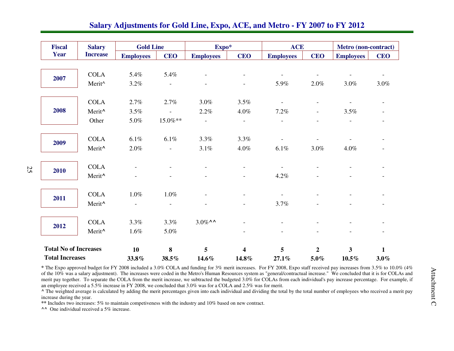| <b>Fiscal</b>                | <b>Salary</b>      | <b>Gold Line</b>         |                          | Expo*                    |                          | <b>ACE</b>       |                          | <b>Metro</b> (non-contract) |            |
|------------------------------|--------------------|--------------------------|--------------------------|--------------------------|--------------------------|------------------|--------------------------|-----------------------------|------------|
| <b>Year</b>                  | <b>Increase</b>    | <b>Employees</b>         | <b>CEO</b>               | <b>Employees</b>         | <b>CEO</b>               | <b>Employees</b> | <b>CEO</b>               | <b>Employees</b>            | <b>CEO</b> |
|                              |                    |                          |                          |                          |                          |                  |                          |                             |            |
| 2007                         | <b>COLA</b>        | 5.4%                     | 5.4%                     |                          |                          |                  |                          |                             |            |
|                              | Merit^             | 3.2%                     |                          |                          | $\overline{\phantom{0}}$ | 5.9%             | 2.0%                     | 3.0%                        | 3.0%       |
|                              | <b>COLA</b>        | 2.7%                     | 2.7%                     | 3.0%                     | 3.5%                     |                  |                          |                             |            |
| 2008                         | Merit <sup>^</sup> | 3.5%                     | $\overline{\phantom{a}}$ | 2.2%                     | 4.0%                     | 7.2%             | $\overline{\phantom{a}}$ | 3.5%                        |            |
|                              | Other              | 5.0%                     | 15.0%**                  | $\overline{\phantom{a}}$ | $\overline{\phantom{a}}$ |                  |                          |                             |            |
|                              | <b>COLA</b>        | $6.1\%$                  | $6.1\%$                  | 3.3%                     | 3.3%                     |                  |                          |                             |            |
| 2009                         | Merit <sup>^</sup> | 2.0%                     | $\mathbf{r}$             | 3.1%                     | $4.0\%$                  | $6.1\%$          | 3.0%                     | 4.0%                        |            |
|                              | <b>COLA</b>        |                          |                          |                          |                          |                  |                          |                             |            |
| 2010                         | Merit <sup>^</sup> |                          |                          |                          | $\overline{\phantom{0}}$ | 4.2%             |                          |                             |            |
|                              | <b>COLA</b>        | $1.0\%$                  | 1.0%                     |                          | $\overline{\phantom{a}}$ |                  |                          |                             |            |
| 2011                         | Merit <sup>^</sup> | $\overline{\phantom{a}}$ | $\overline{\phantom{a}}$ |                          |                          | 3.7%             |                          |                             |            |
|                              | <b>COLA</b>        | 3.3%                     | 3.3%                     | $3.0\%$ ^ ^              |                          |                  |                          |                             |            |
| 2012                         | Merit <sup>^</sup> | 1.6%                     | 5.0%                     |                          |                          |                  |                          |                             |            |
| <b>Total No of Increases</b> |                    | 10                       | 8                        | 5                        | 4                        | 5                | $\mathbf{2}$             | 3                           | 1          |
| <b>Total Increases</b>       |                    | 33.8%                    | 38.5%                    | 14.6%                    | 14.8%                    | 27.1%            | $5.0\%$                  | $10.5\%$                    | $3.0\%$    |

### **Salary Adjustments for Gold Line, Expo, ACE, and Metro - FY 2007 to FY 2012**

 **\*** The Expo approved budget for FY 2008 included a 3.0% COLA and funding for 3% merit increases. For FY 2008, Expo staff received pay increases from 3.5% to 10.0% (4% of the 10% was a salary adjustment). The increases were coded in the Metro's Human Resources system as "general/contractual increase." We concluded that it is for COLAs and merit pay together. To separate the COLA from the merit increase, we subtracted the budgeted 3.0% for COLAs from each individual's pay increase percentage. For example, if an employee received a 5.5% increase in FY 2008, we concluded that 3.0% was for a COLA and 2.5% was for merit.

The weighted average is calculated by adding the merit percentages given into each individual and dividing the total by the total number of employees who received a merit pay increase during the year.

**\*\*** Includes two increases: 5% to maintain competiveness with the industry and 10% based on new contract.

**^^** One individual received a 5% increase.

25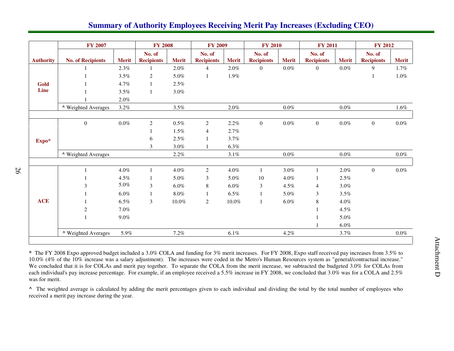### **Summary of Authority Employees Receiving Merit Pay Increases (Excluding CEO)**

| No. of<br>No. of<br>No. of<br>No. of<br><b>No. of Recipients</b><br><b>Recipients</b><br><b>Merit</b><br><b>Recipients</b><br><b>Recipients</b><br><b>Recipients</b><br><b>Authority</b><br><b>Merit</b><br><b>Merit</b><br><b>Merit</b><br><b>Merit</b><br>$\boldsymbol{0}$<br>$0.0\%$<br>$0.0\%$<br>2.3%<br>$2.0\%$<br>2.0%<br>$\boldsymbol{0}$<br>$\overline{4}$<br>3.5%<br>$\overline{2}$<br>5.0%<br>1.9%<br>1<br>4.7%<br>2.5%<br>Gold<br>1<br>Line<br>$3.0\%$<br>3.5%<br>$\mathbf{1}$<br>$2.0\%$<br>3.5%<br>2.0%<br>$0.0\%$<br>$0.0\%$<br>Neighted Averages<br>3.2%<br>$\boldsymbol{0}$<br>$0.0\%$<br>$\overline{2}$<br>$\overline{2}$<br>$\overline{0}$<br>$0.0\%$<br>$\mathbf{0}$<br>$0.0\%$<br>$0.5\%$<br>2.2%<br>1.5%<br>2.7%<br>$\overline{4}$<br>2.5%<br>3.7%<br>6<br>Expo*<br>3.0%<br>6.3%<br>3<br>2.2%<br>$3.1\%$<br>$0.0\%$<br>$0.0\%$<br>Neighted Averages | No. of<br><b>Recipients</b><br><b>Merit</b><br>9<br>1.7% |
|---------------------------------------------------------------------------------------------------------------------------------------------------------------------------------------------------------------------------------------------------------------------------------------------------------------------------------------------------------------------------------------------------------------------------------------------------------------------------------------------------------------------------------------------------------------------------------------------------------------------------------------------------------------------------------------------------------------------------------------------------------------------------------------------------------------------------------------------------------------------------|----------------------------------------------------------|
|                                                                                                                                                                                                                                                                                                                                                                                                                                                                                                                                                                                                                                                                                                                                                                                                                                                                           |                                                          |
|                                                                                                                                                                                                                                                                                                                                                                                                                                                                                                                                                                                                                                                                                                                                                                                                                                                                           |                                                          |
|                                                                                                                                                                                                                                                                                                                                                                                                                                                                                                                                                                                                                                                                                                                                                                                                                                                                           | $1.0\%$                                                  |
|                                                                                                                                                                                                                                                                                                                                                                                                                                                                                                                                                                                                                                                                                                                                                                                                                                                                           |                                                          |
|                                                                                                                                                                                                                                                                                                                                                                                                                                                                                                                                                                                                                                                                                                                                                                                                                                                                           |                                                          |
|                                                                                                                                                                                                                                                                                                                                                                                                                                                                                                                                                                                                                                                                                                                                                                                                                                                                           |                                                          |
|                                                                                                                                                                                                                                                                                                                                                                                                                                                                                                                                                                                                                                                                                                                                                                                                                                                                           | 1.6%                                                     |
|                                                                                                                                                                                                                                                                                                                                                                                                                                                                                                                                                                                                                                                                                                                                                                                                                                                                           |                                                          |
|                                                                                                                                                                                                                                                                                                                                                                                                                                                                                                                                                                                                                                                                                                                                                                                                                                                                           | $\Omega$<br>$0.0\%$                                      |
|                                                                                                                                                                                                                                                                                                                                                                                                                                                                                                                                                                                                                                                                                                                                                                                                                                                                           |                                                          |
|                                                                                                                                                                                                                                                                                                                                                                                                                                                                                                                                                                                                                                                                                                                                                                                                                                                                           |                                                          |
|                                                                                                                                                                                                                                                                                                                                                                                                                                                                                                                                                                                                                                                                                                                                                                                                                                                                           |                                                          |
|                                                                                                                                                                                                                                                                                                                                                                                                                                                                                                                                                                                                                                                                                                                                                                                                                                                                           | $0.0\%$                                                  |
|                                                                                                                                                                                                                                                                                                                                                                                                                                                                                                                                                                                                                                                                                                                                                                                                                                                                           |                                                          |
| $4.0\%$<br>$4.0\%$<br>$\sqrt{2}$<br>3.0%<br>2.0%<br>$4.0\%$<br>$\mathbf{1}$<br>$\mathbf{1}$<br>$\mathbf{1}$                                                                                                                                                                                                                                                                                                                                                                                                                                                                                                                                                                                                                                                                                                                                                               | $\overline{0}$<br>$0.0\%$                                |
| 4.5%<br>5.0%<br>$\mathfrak{Z}$<br>5.0%<br>10<br>$4.0\%$<br>$2.5\%$<br>1                                                                                                                                                                                                                                                                                                                                                                                                                                                                                                                                                                                                                                                                                                                                                                                                   |                                                          |
| 5.0%<br>3<br>$\mathfrak{Z}$<br>3<br>$6.0\%$<br>$\,8\,$<br>$3.0\%$<br>$6.0\%$<br>$4.5\%$<br>4                                                                                                                                                                                                                                                                                                                                                                                                                                                                                                                                                                                                                                                                                                                                                                              |                                                          |
| $6.0\%$<br>$8.0\%$<br>6.5%<br>5.0%<br>3<br>3.5%<br>1<br>$\mathbf{1}$<br>1                                                                                                                                                                                                                                                                                                                                                                                                                                                                                                                                                                                                                                                                                                                                                                                                 |                                                          |
| <b>ACE</b><br>$10.0\%$<br>$8\,$<br>$4.0\%$<br>6.5%<br>3<br>$10.0\%$<br>$\overline{2}$<br>$6.0\%$<br>$\mathbf{1}$                                                                                                                                                                                                                                                                                                                                                                                                                                                                                                                                                                                                                                                                                                                                                          |                                                          |
| $\sqrt{2}$<br>7.0%<br>4.5%                                                                                                                                                                                                                                                                                                                                                                                                                                                                                                                                                                                                                                                                                                                                                                                                                                                |                                                          |
| $9.0\%$<br>5.0%                                                                                                                                                                                                                                                                                                                                                                                                                                                                                                                                                                                                                                                                                                                                                                                                                                                           |                                                          |
| $6.0\%$                                                                                                                                                                                                                                                                                                                                                                                                                                                                                                                                                                                                                                                                                                                                                                                                                                                                   |                                                          |
| 5.9%<br>7.2%<br>$6.1\%$<br>4.2%<br>3.7%<br>Neighted Averages                                                                                                                                                                                                                                                                                                                                                                                                                                                                                                                                                                                                                                                                                                                                                                                                              | $0.0\%$                                                  |

**\*** The FY 2008 Expo approved budget included a 3.0% COLA and funding for 3% merit increases. For FY 2008, Expo staff received pay increases from 3.5% to 10.0% (4% of the 10% increase was a salary adjustment). The increases were coded in the Metro's Human Resources system as "general/contractual increase." We concluded that it is for COLAs and merit pay together. To separate the COLA from the merit increase, we subtracted the budgeted 3.0% for COLAs from each individual's pay increase percentage. For example, if an employee received a 5.5% increase in FY 2008, we concluded that 3.0% was for a COLA and 2.5% was for merit.

**^** The weighted average is calculated by adding the merit percentages given to each individual and dividing the total by the total number of employees whoreceived a merit pay increase during the year.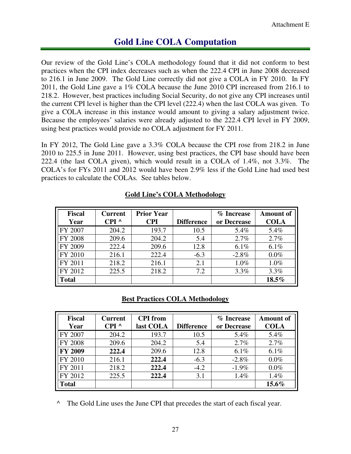# **Gold Line COLA Computation**

Our review of the Gold Line's COLA methodology found that it did not conform to best practices when the CPI index decreases such as when the 222.4 CPI in June 2008 decreased to 216.1 in June 2009. The Gold Line correctly did not give a COLA in FY 2010. In FY 2011, the Gold Line gave a 1% COLA because the June 2010 CPI increased from 216.1 to 218.2. However, best practices including Social Security, do not give any CPI increases until the current CPI level is higher than the CPI level (222.4) when the last COLA was given. To give a COLA increase in this instance would amount to giving a salary adjustment twice. Because the employees' salaries were already adjusted to the 222.4 CPI level in FY 2009, using best practices would provide no COLA adjustment for FY 2011.

In FY 2012, The Gold Line gave a 3.3% COLA because the CPI rose from 218.2 in June 2010 to 225.5 in June 2011. However, using best practices, the CPI base should have been 222.4 (the last COLA given), which would result in a COLA of 1.4%, not 3.3%. The COLA's for FYs 2011 and 2012 would have been 2.9% less if the Gold Line had used best practices to calculate the COLAs. See tables below.

| <b>Fiscal</b><br>Year | <b>Current</b><br>$CPI^{\wedge}$ | <b>Prior Year</b><br><b>CPI</b> | <b>Difference</b> | % Increase<br>or Decrease | <b>Amount of</b><br><b>COLA</b> |
|-----------------------|----------------------------------|---------------------------------|-------------------|---------------------------|---------------------------------|
| FY 2007               | 204.2                            | 193.7                           | 10.5              | 5.4%                      | 5.4%                            |
| <b>FY 2008</b>        | 209.6                            | 204.2                           | 5.4               | 2.7%                      | 2.7%                            |
| FY 2009               | 222.4                            | 209.6                           | 12.8              | 6.1%                      | 6.1%                            |
| FY 2010               | 216.1                            | 222.4                           | $-6.3$            | $-2.8\%$                  | $0.0\%$                         |
| FY 2011               | 218.2                            | 216.1                           | 2.1               | $1.0\%$                   | 1.0%                            |
| FY 2012               | 225.5                            | 218.2                           | 7.2               | 3.3%                      | 3.3%                            |
| <b>Total</b>          |                                  |                                 |                   |                           | $18.5\%$                        |

### **Gold Line's COLA Methodology**

### **Best Practices COLA Methodology**

| Fiscal<br>Year | <b>Current</b><br>$CPI^{\wedge}$ | <b>CPI</b> from<br>last COLA | <b>Difference</b> | % Increase<br>or Decrease | <b>Amount of</b><br><b>COLA</b> |
|----------------|----------------------------------|------------------------------|-------------------|---------------------------|---------------------------------|
| <b>FY 2007</b> | 204.2                            | 193.7                        | 10.5              | 5.4%                      | 5.4%                            |
| <b>FY 2008</b> | 209.6                            | 204.2                        | 5.4               | 2.7%                      | 2.7%                            |
| <b>FY 2009</b> | 222.4                            | 209.6                        | 12.8              | 6.1%                      | 6.1%                            |
| <b>FY 2010</b> | 216.1                            | 222.4                        | $-6.3$            | $-2.8%$                   | $0.0\%$                         |
| IFY 2011       | 218.2                            | 222.4                        | $-4.2$            | $-1.9\%$                  | $0.0\%$                         |
| <b>FY 2012</b> | 225.5                            | 222.4                        | 3.1               | 1.4%                      | 1.4%                            |
| Total          |                                  |                              |                   |                           | 15.6%                           |

^ The Gold Line uses the June CPI that precedes the start of each fiscal year.